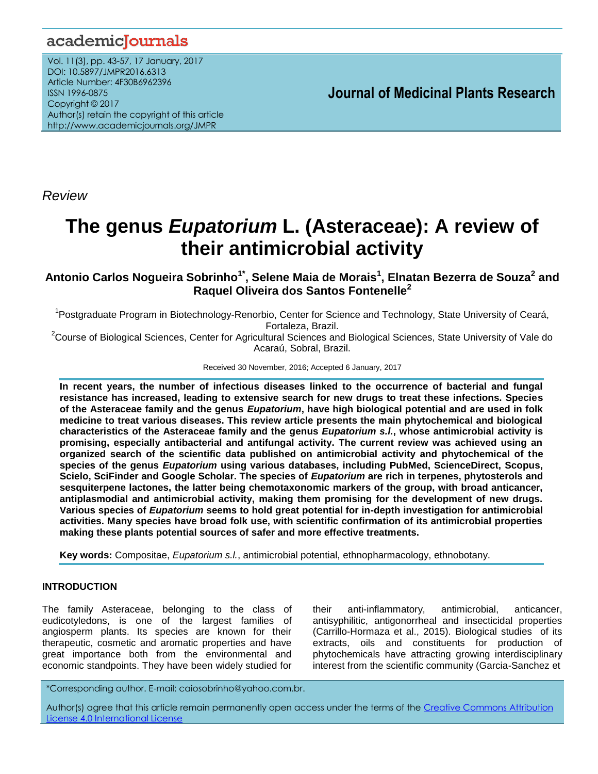# academicJournals

Vol. 11(3), pp. 43-57, 17 January, 2017 DOI: 10.5897/JMPR2016.6313 Article Number: 4F30B6962396 ISSN 1996-0875 Copyright © 2017 Author(s) retain the copyright of this article http://www.academicjournals.org/JMPR

 **Journal of Medicinal Plants Research**

*Review*

# **The genus** *Eupatorium* **L. (Asteraceae): A review of their antimicrobial activity**

**Antonio Carlos Nogueira Sobrinho1\* , Selene Maia de Morais<sup>1</sup> , Elnatan Bezerra de Souza<sup>2</sup> and Raquel Oliveira dos Santos Fontenelle<sup>2</sup>**

<sup>1</sup>Postgraduate Program in Biotechnology-Renorbio, Center for Science and Technology, State University of Ceará, Fortaleza, Brazil.

<sup>2</sup>Course of Biological Sciences, Center for Agricultural Sciences and Biological Sciences, State University of Vale do Acaraú, Sobral, Brazil.

Received 30 November, 2016; Accepted 6 January, 2017

**In recent years, the number of infectious diseases linked to the occurrence of bacterial and fungal resistance has increased, leading to extensive search for new drugs to treat these infections. Species of the Asteraceae family and the genus** *Eupatorium***, have high biological potential and are used in folk medicine to treat various diseases. This review article presents the main phytochemical and biological characteristics of the Asteraceae family and the genus** *Eupatorium s.l.***, whose antimicrobial activity is promising, especially antibacterial and antifungal activity. The current review was achieved using an organized search of the scientific data published on antimicrobial activity and phytochemical of the species of the genus** *Eupatorium* **using various databases, including PubMed, ScienceDirect, Scopus, Scielo, SciFinder and Google Scholar. The species of** *Eupatorium* **are rich in terpenes, phytosterols and sesquiterpene lactones, the latter being chemotaxonomic markers of the group, with broad anticancer, antiplasmodial and antimicrobial activity, making them promising for the development of new drugs. Various species of** *Eupatorium* **seems to hold great potential for in-depth investigation for antimicrobial activities. Many species have broad folk use, with scientific confirmation of its antimicrobial properties making these plants potential sources of safer and more effective treatments.**

**Key words:** Compositae, *Eupatorium s.l.*, antimicrobial potential, ethnopharmacology, ethnobotany.

# **INTRODUCTION**

The family Asteraceae, belonging to the class of eudicotyledons, is one of the largest families of angiosperm plants. Its species are known for their therapeutic, cosmetic and aromatic properties and have great importance both from the environmental and economic standpoints. They have been widely studied for their anti-inflammatory, antimicrobial, anticancer, antisyphilitic, antigonorrheal and insecticidal properties (Carrillo-Hormaza et al., 2015). Biological studies of its extracts, oils and constituents for production of phytochemicals have attracting growing interdisciplinary interest from the scientific community (Garcia-Sanchez et

\*Corresponding author. E-mail: caiosobrinho@yahoo.com.br.

Author(s) agree that this article remain permanently open access under the terms of the [Creative Commons Attribution](http://creativecommons.org/licenses/by/4.0/deed.en_US) [License 4.0 International License](http://creativecommons.org/licenses/by/4.0/deed.en_US)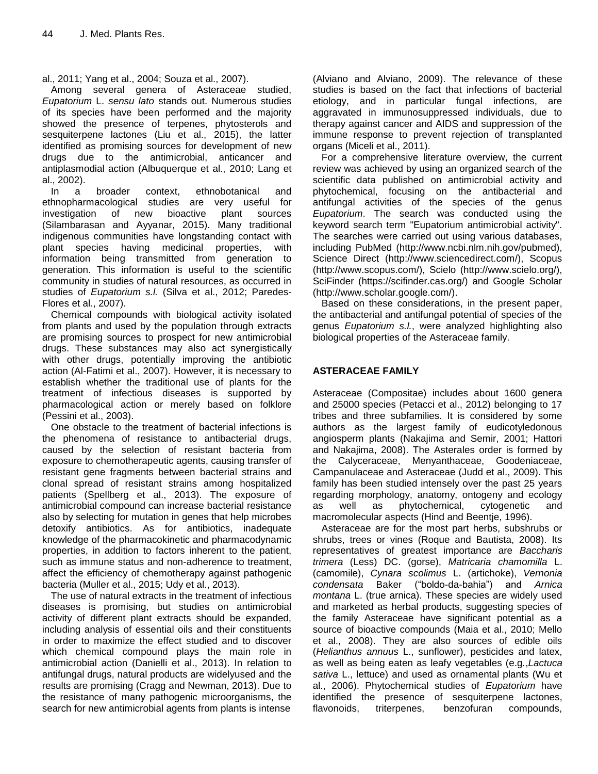#### al., 2011; Yang et al., 2004; Souza et al., 2007).

Among several genera of Asteraceae studied, *Eupatorium* L. *sensu lato* stands out. Numerous studies of its species have been performed and the majority showed the presence of terpenes, phytosterols and sesquiterpene lactones (Liu et al., 2015), the latter identified as promising sources for development of new drugs due to the antimicrobial, anticancer and antiplasmodial action (Albuquerque et al., 2010; Lang et al., 2002).

In a broader context, ethnobotanical and ethnopharmacological studies are very useful for investigation of new bioactive plant sources (Silambarasan and Ayyanar, 2015). Many traditional indigenous communities have longstanding contact with plant species having medicinal properties, with information being transmitted from generation to generation. This information is useful to the scientific community in studies of natural resources, as occurred in studies of *Eupatorium s.l.* (Silva et al., 2012; Paredes-Flores et al., 2007).

Chemical compounds with biological activity isolated from plants and used by the population through extracts are promising sources to prospect for new antimicrobial drugs. These substances may also act synergistically with other drugs, potentially improving the antibiotic action (Al-Fatimi et al., 2007). However, it is necessary to establish whether the traditional use of plants for the treatment of infectious diseases is supported by pharmacological action or merely based on folklore (Pessini et al., 2003).

One obstacle to the treatment of bacterial infections is the phenomena of resistance to antibacterial drugs, caused by the selection of resistant bacteria from exposure to chemotherapeutic agents, causing transfer of resistant gene fragments between bacterial strains and clonal spread of resistant strains among hospitalized patients (Spellberg et al., 2013). The exposure of antimicrobial compound can increase bacterial resistance also by selecting for mutation in genes that help microbes detoxify antibiotics. As for antibiotics, inadequate knowledge of the pharmacokinetic and pharmacodynamic properties, in addition to factors inherent to the patient, such as immune status and non-adherence to treatment, affect the efficiency of chemotherapy against pathogenic bacteria (Muller et al., 2015; Udy et al., 2013).

The use of natural extracts in the treatment of infectious diseases is promising, but studies on antimicrobial activity of different plant extracts should be expanded, including analysis of essential oils and their constituents in order to maximize the effect studied and to discover which chemical compound plays the main role in antimicrobial action (Danielli et al., 2013). In relation to antifungal drugs, natural products are widelyused and the results are promising (Cragg and Newman, 2013). Due to the resistance of many pathogenic microorganisms, the search for new antimicrobial agents from plants is intense (Alviano and Alviano, 2009). The relevance of these studies is based on the fact that infections of bacterial etiology, and in particular fungal infections, are aggravated in immunosuppressed individuals, due to therapy against cancer and AIDS and suppression of the immune response to prevent rejection of transplanted organs (Miceli et al., 2011).

For a comprehensive literature overview, the current review was achieved by using an organized search of the scientific data published on antimicrobial activity and phytochemical, focusing on the antibacterial and antifungal activities of the species of the genus *Eupatorium*. The search was conducted using the keyword search term "Eupatorium antimicrobial activity". The searches were carried out using various databases, including PubMed (http://www.ncbi.nlm.nih.gov/pubmed), Science Direct (http://www.sciencedirect.com/), Scopus (http://www.scopus.com/), Scielo (http://www.scielo.org/), SciFinder (https://scifinder.cas.org/) and Google Scholar (http://www.scholar.google.com/).

Based on these considerations, in the present paper, the antibacterial and antifungal potential of species of the genus *Eupatorium s.l.*, were analyzed highlighting also biological properties of the Asteraceae family.

# **ASTERACEAE FAMILY**

Asteraceae (Compositae) includes about 1600 genera and 25000 species (Petacci et al., 2012) belonging to 17 tribes and three subfamilies. It is considered by some authors as the largest family of eudicotyledonous angiosperm plants (Nakajima and Semir, 2001; Hattori and Nakajima, 2008). The Asterales order is formed by the Calyceraceae, Menyanthaceae, Goodeniaceae, Campanulaceae and Asteraceae (Judd et al., 2009). This family has been studied intensely over the past 25 years regarding morphology, anatomy, ontogeny and ecology as well as phytochemical, cytogenetic and macromolecular aspects (Hind and Beentje, 1996).

Asteraceae are for the most part herbs, subshrubs or shrubs, trees or vines (Roque and Bautista, 2008). Its representatives of greatest importance are *Baccharis trimera* (Less) DC. (gorse), *Matricaria chamomilla* L. (camomile), *Cynara scolimus* L. (artichoke), *Vernonia condensata* Baker ("boldo-da-bahia") and *Arnica montana* L. (true arnica). These species are widely used and marketed as herbal products, suggesting species of the family Asteraceae have significant potential as a source of bioactive compounds (Maia et al., 2010; Mello et al., 2008). They are also sources of edible oils (*Helianthus annuus* L., sunflower), pesticides and latex, as well as being eaten as leafy vegetables (e.g.,*Lactuca sativa* L., lettuce) and used as ornamental plants (Wu et al., 2006). Phytochemical studies of *Eupatorium* have identified the presence of sesquiterpene lactones, flavonoids, triterpenes, benzofuran compounds,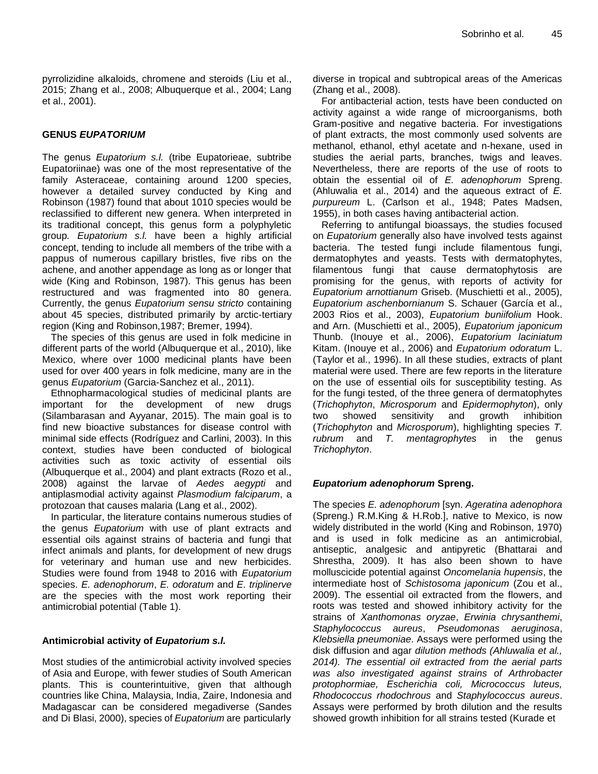pyrrolizidine alkaloids, chromene and steroids (Liu et al., 2015; Zhang et al., 2008; Albuquerque et al., 2004; Lang et al., 2001).

#### **GENUS** *EUPATORIUM*

The genus *Eupatorium s.l.* (tribe Eupatorieae, subtribe Eupatoriinae) was one of the most representative of the family Asteraceae, containing around 1200 species, however a detailed survey conducted by King and Robinson (1987) found that about 1010 species would be reclassified to different new genera. When interpreted in its traditional concept, this genus form a polyphyletic group*. Eupatorium s.l.* have been a highly artificial concept, tending to include all members of the tribe with a pappus of numerous capillary bristles, five ribs on the achene, and another appendage as long as or longer that wide (King and Robinson, 1987). This genus has been restructured and was fragmented into 80 genera. Currently, the genus *Eupatorium sensu stricto* containing about 45 species, distributed primarily by arctic-tertiary region (King and Robinson,1987; Bremer, 1994).

The species of this genus are used in folk medicine in different parts of the world (Albuquerque et al., 2010), like Mexico, where over 1000 medicinal plants have been used for over 400 years in folk medicine, many are in the genus *Eupatorium* (Garcia-Sanchez et al., 2011).

Ethnopharmacological studies of medicinal plants are important for the development of new drugs (Silambarasan and Ayyanar, 2015). The main goal is to find new bioactive substances for disease control with minimal side effects (Rodríguez and Carlini, 2003). In this context, studies have been conducted of biological activities such as toxic activity of essential oils (Albuquerque et al., 2004) and plant extracts (Rozo et al., 2008) against the larvae of *Aedes aegypti* and antiplasmodial activity against *Plasmodium falciparum*, a protozoan that causes malaria (Lang et al., 2002).

In particular, the literature contains numerous studies of the genus *Eupatorium* with use of plant extracts and essential oils against strains of bacteria and fungi that infect animals and plants, for development of new drugs for veterinary and human use and new herbicides. Studies were found from 1948 to 2016 with *Eupatorium* species. *E. adenophorum*, *E. odoratum* and *E. triplinerve* are the species with the most work reporting their antimicrobial potential (Table 1).

#### **Antimicrobial activity of** *Eupatorium s.l.*

Most studies of the antimicrobial activity involved species of Asia and Europe, with fewer studies of South American plants. This is counterintuitive, given that although countries like China, Malaysia, India, Zaire, Indonesia and Madagascar can be considered megadiverse (Sandes and Di Blasi, 2000), species of *Eupatorium* are particularly

diverse in tropical and subtropical areas of the Americas (Zhang et al., 2008).

For antibacterial action, tests have been conducted on activity against a wide range of microorganisms, both Gram-positive and negative bacteria. For investigations of plant extracts, the most commonly used solvents are methanol, ethanol, ethyl acetate and n-hexane, used in studies the aerial parts, branches, twigs and leaves. Nevertheless, there are reports of the use of roots to obtain the essential oil of *E. adenophorum* Spreng. (Ahluwalia et al., 2014) and the aqueous extract of *E. purpureum* L. (Carlson et al., 1948; Pates Madsen, 1955), in both cases having antibacterial action.

Referring to antifungal bioassays, the studies focused on *Eupatorium* generally also have involved tests against bacteria. The tested fungi include filamentous fungi, dermatophytes and yeasts. Tests with dermatophytes, filamentous fungi that cause dermatophytosis are promising for the genus, with reports of activity for *Eupatorium arnottianum* Griseb. (Muschietti et al., 2005), *Eupatorium aschenbornianum* S. Schauer (García et al., 2003 Rios et al., 2003), *Eupatorium buniifolium* Hook. and Arn. (Muschietti et al., 2005), *Eupatorium japonicum* Thunb. (Inouye et al., 2006), *Eupatorium laciniatum* Kitam. (Inouye et al., 2006) and *Eupatorium odoratum* L. (Taylor et al., 1996). In all these studies, extracts of plant material were used. There are few reports in the literature on the use of essential oils for susceptibility testing. As for the fungi tested, of the three genera of dermatophytes (*Trichophyton*, *Microsporum* and *Epidermophyton*), only two showed sensitivity and growth inhibition (*Trichophyton* and *Microsporum*), highlighting species *T. rubrum* and *T. mentagrophytes* in the genus *Trichophyton*.

#### *Eupatorium adenophorum* **Spreng.**

The species *E. adenophorum* [syn. *Ageratina adenophora*  (Spreng.) R.M.King & H.Rob.], native to Mexico, is now widely distributed in the world (King and Robinson, 1970) and is used in folk medicine as an antimicrobial, antiseptic, analgesic and antipyretic (Bhattarai and Shrestha, 2009). It has also been shown to have molluscicide potential against *Oncomelania hupensis*, the intermediate host of *Schistosoma japonicum* (Zou et al., 2009). The essential oil extracted from the flowers, and roots was tested and showed inhibitory activity for the strains of *Xanthomonas oryzae*, *Erwinia chrysanthemi*, *Staphylococcus aureus*, *Pseudomonas aeruginosa*, *Klebsiella pneumoniae*. Assays were performed using the disk diffusion and agar *dilution methods (Ahluwalia et al., 2014). The essential oil extracted from the aerial parts was also investigated against strains of Arthrobacter protophormiae, Escherichia coli, Micrococcus luteus, Rhodococcus rhodochrous* and *Staphylococcus aureus*. Assays were performed by broth dilution and the results showed growth inhibition for all strains tested (Kurade et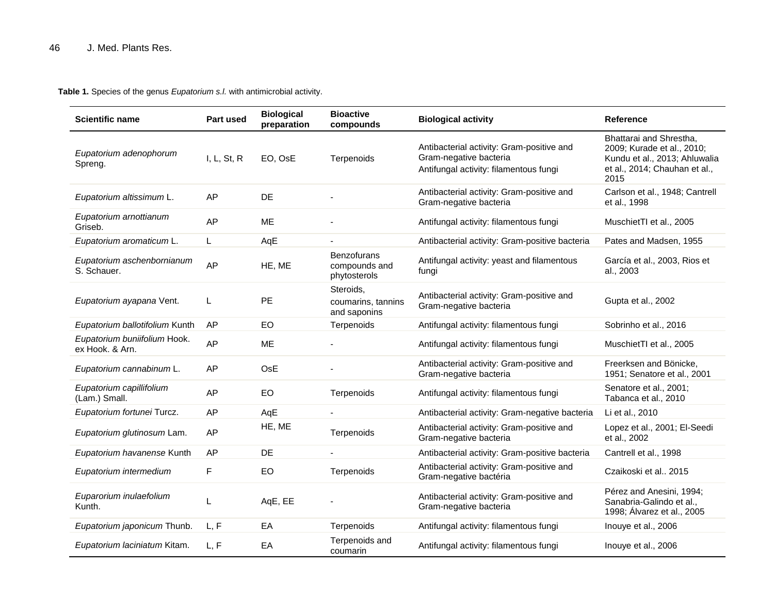**Table 1.** Species of the genus *Eupatorium s.l.* with antimicrobial activity.

| <b>Scientific name</b>                          | Part used   | <b>Biological</b><br>preparation | <b>Bioactive</b><br>compounds                       | <b>Biological activity</b>                                                                                    | Reference                                                                                                                       |
|-------------------------------------------------|-------------|----------------------------------|-----------------------------------------------------|---------------------------------------------------------------------------------------------------------------|---------------------------------------------------------------------------------------------------------------------------------|
| Eupatorium adenophorum<br>Spreng.               | I, L, St, R | EO, OsE                          | Terpenoids                                          | Antibacterial activity: Gram-positive and<br>Gram-negative bacteria<br>Antifungal activity: filamentous fungi | Bhattarai and Shrestha,<br>2009; Kurade et al., 2010;<br>Kundu et al., 2013; Ahluwalia<br>et al., 2014; Chauhan et al.,<br>2015 |
| Eupatorium altissimum L.                        | AP          | <b>DE</b>                        |                                                     | Antibacterial activity: Gram-positive and<br>Gram-negative bacteria                                           | Carlson et al., 1948; Cantrell<br>et al., 1998                                                                                  |
| Eupatorium arnottianum<br>Griseb.               | AP          | ME                               |                                                     | Antifungal activity: filamentous fungi                                                                        | MuschietTI et al., 2005                                                                                                         |
| Eupatorium aromaticum L.                        | L           | AqE                              | $\blacksquare$                                      | Antibacterial activity: Gram-positive bacteria                                                                | Pates and Madsen, 1955                                                                                                          |
| Eupatorium aschenbornianum<br>S. Schauer.       | AP          | HE, ME                           | <b>Benzofurans</b><br>compounds and<br>phytosterols | Antifungal activity: yeast and filamentous<br>fungi                                                           | García et al., 2003, Rios et<br>al., 2003                                                                                       |
| Eupatorium ayapana Vent.                        | L           | PE                               | Steroids,<br>coumarins, tannins<br>and saponins     | Antibacterial activity: Gram-positive and<br>Gram-negative bacteria                                           | Gupta et al., 2002                                                                                                              |
| Eupatorium ballotifolium Kunth                  | AP          | EO                               | Terpenoids                                          | Antifungal activity: filamentous fungi                                                                        | Sobrinho et al., 2016                                                                                                           |
| Eupatorium buniifolium Hook.<br>ex Hook. & Arn. | AP          | <b>ME</b>                        |                                                     | Antifungal activity: filamentous fungi                                                                        | MuschietTI et al., 2005                                                                                                         |
| Eupatorium cannabinum L.                        | AP          | OsE                              |                                                     | Antibacterial activity: Gram-positive and<br>Gram-negative bacteria                                           | Freerksen and Bönicke,<br>1951; Senatore et al., 2001                                                                           |
| Eupatorium capillifolium<br>(Lam.) Small.       | AP          | EO                               | Terpenoids                                          | Antifungal activity: filamentous fungi                                                                        | Senatore et al., 2001;<br>Tabanca et al., 2010                                                                                  |
| Eupatorium fortunei Turcz.                      | AP          | AqE                              |                                                     | Antibacterial activity: Gram-negative bacteria                                                                | Li et al., 2010                                                                                                                 |
| Eupatorium glutinosum Lam.                      | AP          | HE, ME                           | Terpenoids                                          | Antibacterial activity: Gram-positive and<br>Gram-negative bacteria                                           | Lopez et al., 2001; El-Seedi<br>et al., 2002                                                                                    |
| Eupatorium havanense Kunth                      | AP          | DE                               |                                                     | Antibacterial activity: Gram-positive bacteria                                                                | Cantrell et al., 1998                                                                                                           |
| Eupatorium intermedium                          | F           | EO                               | Terpenoids                                          | Antibacterial activity: Gram-positive and<br>Gram-negative bactéria                                           | Czaikoski et al., 2015                                                                                                          |
| Euparorium inulaefolium<br>Kunth.               |             | AqE, EE                          |                                                     | Antibacterial activity: Gram-positive and<br>Gram-negative bacteria                                           | Pérez and Anesini, 1994;<br>Sanabria-Galindo et al.,<br>1998; Álvarez et al., 2005                                              |
| Eupatorium japonicum Thunb.                     | L, F        | EA                               | Terpenoids                                          | Antifungal activity: filamentous fungi                                                                        | Inouye et al., 2006                                                                                                             |
| Eupatorium laciniatum Kitam.                    | L, F        | EA                               | Terpenoids and<br>coumarin                          | Antifungal activity: filamentous fungi                                                                        | Inouye et al., 2006                                                                                                             |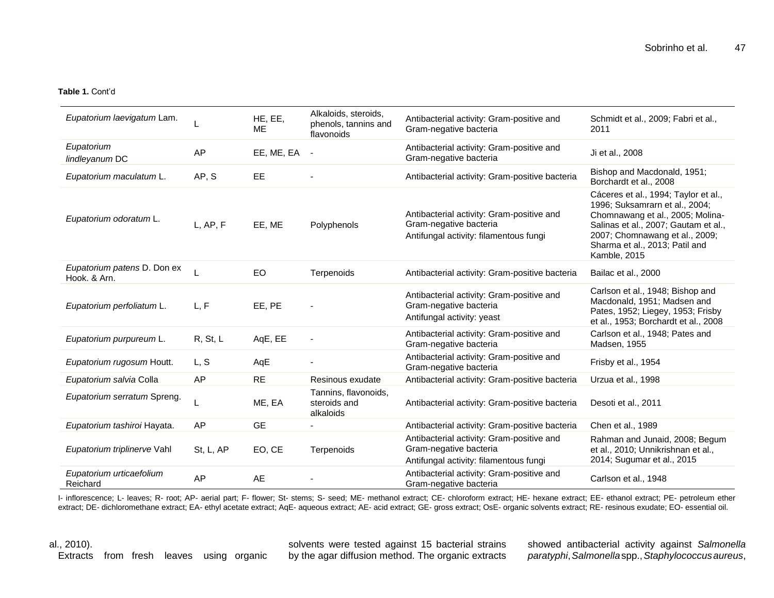#### **Table 1.** Cont'd

| Eupatorium laevigatum Lam.                  |           | HE, EE,<br><b>ME</b> | Alkaloids, steroids,<br>phenols, tannins and<br>flavonoids | Antibacterial activity: Gram-positive and<br>Gram-negative bacteria                                           | Schmidt et al., 2009; Fabri et al.,<br>2011                                                                                                                                                                                            |
|---------------------------------------------|-----------|----------------------|------------------------------------------------------------|---------------------------------------------------------------------------------------------------------------|----------------------------------------------------------------------------------------------------------------------------------------------------------------------------------------------------------------------------------------|
| Eupatorium<br>lindleyanum DC                | AP        | EE, ME, EA           | $\sim$                                                     | Antibacterial activity: Gram-positive and<br>Gram-negative bacteria                                           | Ji et al., 2008                                                                                                                                                                                                                        |
| Eupatorium maculatum L.                     | AP, S     | EE.                  |                                                            | Antibacterial activity: Gram-positive bacteria                                                                | Bishop and Macdonald, 1951;<br>Borchardt et al., 2008                                                                                                                                                                                  |
| Eupatorium odoratum L.                      | L, AP, F  | EE, ME               | Polyphenols                                                | Antibacterial activity: Gram-positive and<br>Gram-negative bacteria<br>Antifungal activity: filamentous fungi | Cáceres et al., 1994; Taylor et al.,<br>1996; Suksamrarn et al., 2004;<br>Chomnawang et al., 2005; Molina-<br>Salinas et al., 2007; Gautam et al.,<br>2007; Chomnawang et al., 2009;<br>Sharma et al., 2013; Patil and<br>Kamble, 2015 |
| Eupatorium patens D. Don ex<br>Hook, & Arn. |           | <b>EO</b>            | Terpenoids                                                 | Antibacterial activity: Gram-positive bacteria                                                                | Bailac et al., 2000                                                                                                                                                                                                                    |
| Eupatorium perfoliatum L.                   | L, F      | EE, PE               |                                                            | Antibacterial activity: Gram-positive and<br>Gram-negative bacteria<br>Antifungal activity: yeast             | Carlson et al., 1948; Bishop and<br>Macdonald, 1951; Madsen and<br>Pates, 1952; Liegey, 1953; Frisby<br>et al., 1953; Borchardt et al., 2008                                                                                           |
| Eupatorium purpureum L.                     | R, St, L  | AqE, EE              |                                                            | Antibacterial activity: Gram-positive and<br>Gram-negative bacteria                                           | Carlson et al., 1948; Pates and<br>Madsen, 1955                                                                                                                                                                                        |
| Eupatorium rugosum Houtt.                   | L, S      | AqE                  |                                                            | Antibacterial activity: Gram-positive and<br>Gram-negative bacteria                                           | Frisby et al., 1954                                                                                                                                                                                                                    |
| Eupatorium salvia Colla                     | AP        | <b>RE</b>            | Resinous exudate                                           | Antibacterial activity: Gram-positive bacteria                                                                | Urzua et al., 1998                                                                                                                                                                                                                     |
| Eupatorium serratum Spreng.                 | L         | ME, EA               | Tannins, flavonoids,<br>steroids and<br>alkaloids          | Antibacterial activity: Gram-positive bacteria                                                                | Desoti et al., 2011                                                                                                                                                                                                                    |
| Eupatorium tashiroi Hayata.                 | AP        | <b>GE</b>            |                                                            | Antibacterial activity: Gram-positive bacteria                                                                | Chen et al., 1989                                                                                                                                                                                                                      |
| Eupatorium triplinerve Vahl                 | St, L, AP | EO, CE               | Terpenoids                                                 | Antibacterial activity: Gram-positive and<br>Gram-negative bacteria<br>Antifungal activity: filamentous fungi | Rahman and Junaid, 2008; Begum<br>et al., 2010; Unnikrishnan et al.,<br>2014; Sugumar et al., 2015                                                                                                                                     |
| Eupatorium urticaefolium<br>Reichard        | AP        | <b>AE</b>            |                                                            | Antibacterial activity: Gram-positive and<br>Gram-negative bacteria                                           | Carlson et al., 1948                                                                                                                                                                                                                   |

I- inflorescence; L- leaves; R- root; AP- aerial part; F- flower; St- stems; S- seed; ME- methanol extract; CE- chloroform extract; HE- hexane extract; EE- ethanol extract; PE- petroleum ether extract; DE- dichloromethane extract; EA- ethyl acetate extract; AqE- aqueous extract; AE- acid extract; GE- gross extract; OsE- organic solvents extract; RE- resinous exudate; EO- essential oil.

#### al., 2010).

Extracts from fresh leaves using organic

solvents were tested against 15 bacterial strains by the agar diffusion method. The organic extracts

showed antibacterial activity against *Salmonella paratyphi*,*Salmonella*spp.,*Staphylococcusaureus*,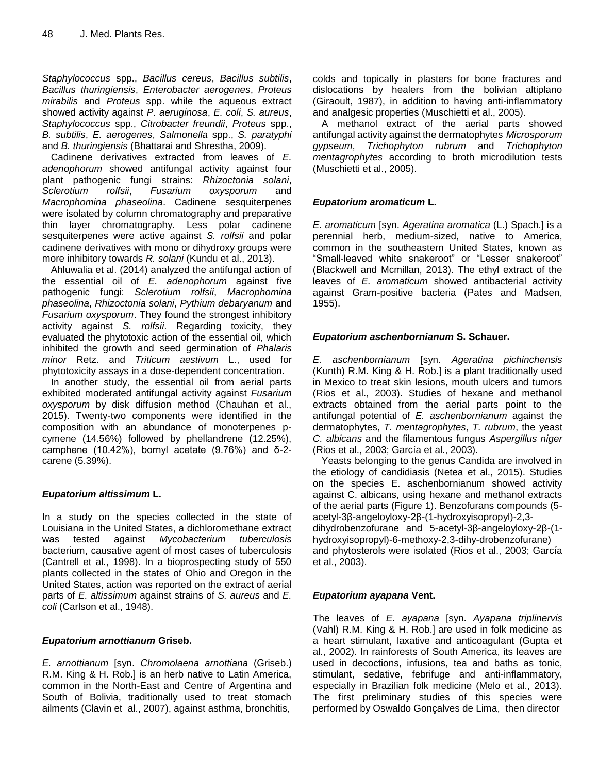*Staphylococcus* spp., *Bacillus cereus*, *Bacillus subtilis*, *Bacillus thuringiensis*, *Enterobacter aerogenes*, *Proteus mirabilis* and *Proteus* spp. while the aqueous extract showed activity against *P. aeruginosa*, *E. coli*, *S. aureus*, *Staphylococcus* spp., *Citrobacter freundii*, *Proteus* spp., *B. subtilis*, *E. aerogenes*, *Salmonella* spp., *S. paratyphi* and *B. thuringiensis* (Bhattarai and Shrestha, 2009).

Cadinene derivatives extracted from leaves of *E. adenophorum* showed antifungal activity against four plant pathogenic fungi strains: *Rhizoctonia solani*, *Sclerotium rolfsii*, *Fusarium oxysporum* and *Macrophomina phaseolina*. Cadinene sesquiterpenes were isolated by column chromatography and preparative thin layer chromatography. Less polar cadinene sesquiterpenes were active against *S. rolfsii* and polar cadinene derivatives with mono or dihydroxy groups were more inhibitory towards *R. solani* (Kundu et al., 2013).

Ahluwalia et al. (2014) analyzed the antifungal action of the essential oil of *E. adenophorum* against five pathogenic fungi: *Sclerotium rolfsii*, *Macrophomina phaseolina*, *Rhizoctonia solani*, *Pythium debaryanum* and *Fusarium oxysporum*. They found the strongest inhibitory activity against *S. rolfsii*. Regarding toxicity, they evaluated the phytotoxic action of the essential oil, which inhibited the growth and seed germination of *Phalaris minor* Retz. and *Triticum aestivum* L., used for phytotoxicity assays in a dose-dependent concentration.

In another study, the essential oil from aerial parts exhibited moderated antifungal activity against *Fusarium oxysporum* by disk diffusion method (Chauhan et al., 2015). Twenty-two components were identified in the composition with an abundance of monoterpenes pcymene (14.56%) followed by phellandrene (12.25%), camphene (10.42%), bornyl acetate (9.76%) and δ-2 carene (5.39%).

# *Eupatorium altissimum* **L.**

In a study on the species collected in the state of Louisiana in the United States, a dichloromethane extract was tested against *Mycobacterium tuberculosis* bacterium, causative agent of most cases of tuberculosis (Cantrell et al., 1998). In a bioprospecting study of 550 plants collected in the states of Ohio and Oregon in the United States, action was reported on the extract of aerial parts of *E. altissimum* against strains of *S. aureus* and *E. coli* (Carlson et al., 1948).

#### *Eupatorium arnottianum* **Griseb.**

*E. arnottianum* [syn. *Chromolaena arnottiana* (Griseb.) R.M. King & H. Rob.] is an herb native to Latin America, common in the North-East and Centre of Argentina and South of Bolivia, traditionally used to treat stomach ailments (Clavin et al., 2007), against asthma, bronchitis,

colds and topically in plasters for bone fractures and dislocations by healers from the bolivian altiplano (Giraoult, 1987), in addition to having anti-inflammatory and analgesic properties (Muschietti et al., 2005).

A methanol extract of the aerial parts showed antifungal activity against the dermatophytes *Microsporum gypseum*, *Trichophyton rubrum* and *Trichophyton mentagrophytes* according to broth microdilution tests (Muschietti et al., 2005).

#### *Eupatorium aromaticum* **L.**

*E. aromaticum* [syn. *Ageratina aromatica* (L.) Spach.] is a perennial herb, medium-sized, native to America, common in the southeastern United States, known as "Small-leaved white snakeroot" or "Lesser snakeroot" (Blackwell and Mcmillan, 2013). The ethyl extract of the leaves of *E. aromaticum* showed antibacterial activity against Gram-positive bacteria (Pates and Madsen, 1955).

#### *Eupatorium aschenbornianum* **S. Schauer.**

*E. aschenbornianum* [syn. *Ageratina pichinchensis*  (Kunth) R.M. King & H. Rob.] is a plant traditionally used in Mexico to treat skin lesions, mouth ulcers and tumors (Rios et al., 2003). Studies of hexane and methanol extracts obtained from the aerial parts point to the antifungal potential of *E. aschenbornianum* against the dermatophytes, *T. mentagrophytes*, *T. rubrum*, the yeast *C. albicans* and the filamentous fungus *Aspergillus niger* (Rios et al., 2003; García et al., 2003).

Yeasts belonging to the genus Candida are involved in the etiology of candidiasis (Netea et al., 2015). Studies on the species E. aschenbornianum showed activity against C. albicans, using hexane and methanol extracts of the aerial parts (Figure 1). Benzofurans compounds (5 acetyl-3β-angeloyloxy-2β-(1-hydroxyisopropyl)-2,3 dihydrobenzofurane and 5-acetyl-3β-angeloyloxy-2β-(1 hydroxyisopropyl)-6-methoxy-2,3-dihy-drobenzofurane) and phytosterols were isolated (Rios et al., 2003; García et al., 2003).

#### *Eupatorium ayapana* **Vent.**

The leaves of *E. ayapana* [syn. *Ayapana triplinervis* (Vahl) R.M. King & H. Rob.] are used in folk medicine as a heart stimulant, laxative and anticoagulant (Gupta et al., 2002). In rainforests of South America, its leaves are used in decoctions, infusions, tea and baths as tonic, stimulant, sedative, febrifuge and anti-inflammatory, especially in Brazilian folk medicine (Melo et al., 2013). The first preliminary studies of this species were performed by Oswaldo Gonçalves de Lima, then director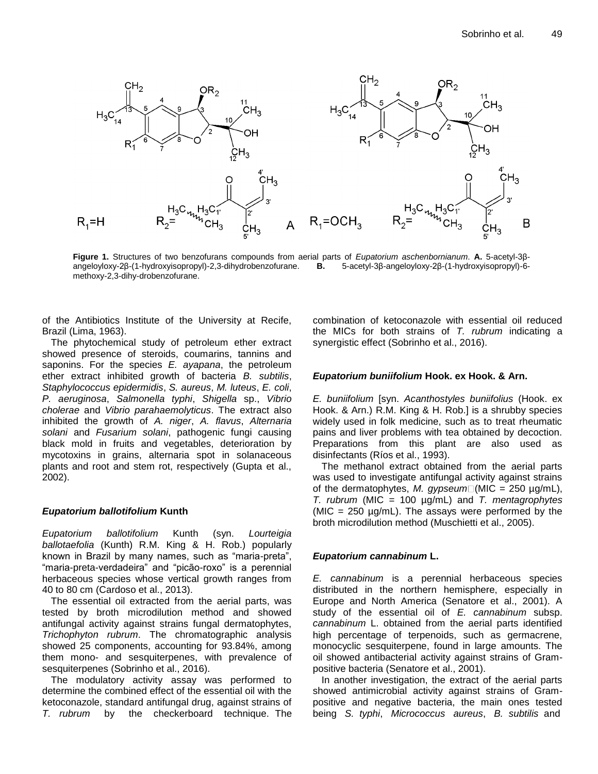

**Figure 1.** Structures of two benzofurans compounds from aerial parts of *Eupatorium aschenbornianum*. **A.** 5-acetyl-3βangeloyloxy-2β-(1-hydroxyisopropyl)-2,3-dihydrobenzofurane. **B.** 5-acetyl-3β-angeloyloxy-2β-(1-hydroxyisopropyl)-6 methoxy-2,3-dihy-drobenzofurane.

of the Antibiotics Institute of the University at Recife, Brazil (Lima, 1963).

The phytochemical study of petroleum ether extract showed presence of steroids, coumarins, tannins and saponins. For the species *E. ayapana*, the petroleum ether extract inhibited growth of bacteria *B. subtilis*, *Staphylococcus epidermidis*, *S. aureus*, *M. luteus*, *E. coli*, *P. aeruginosa*, *Salmonella typhi*, *Shigella* sp., *Vibrio cholerae* and *Vibrio parahaemolyticus*. The extract also inhibited the growth of *A. niger*, *A. flavus*, *Alternaria solani* and *Fusarium solani*, pathogenic fungi causing black mold in fruits and vegetables, deterioration by mycotoxins in grains, alternaria spot in solanaceous plants and root and stem rot, respectively (Gupta et al., 2002).

#### *Eupatorium ballotifolium* **Kunth**

*Eupatorium ballotifolium* Kunth (syn. *Lourteigia ballotaefolia* (Kunth) R.M. King & H. Rob.) popularly known in Brazil by many names, such as "maria-preta", "maria-preta-verdadeira" and "picão-roxo" is a perennial herbaceous species whose vertical growth ranges from 40 to 80 cm (Cardoso et al., 2013).

The essential oil extracted from the aerial parts, was tested by broth microdilution method and showed antifungal activity against strains fungal dermatophytes, *Trichophyton rubrum*. The chromatographic analysis showed 25 components, accounting for 93.84%, among them mono- and sesquiterpenes, with prevalence of sesquiterpenes (Sobrinho et al., 2016).

The modulatory activity assay was performed to determine the combined effect of the essential oil with the ketoconazole, standard antifungal drug, against strains of *T. rubrum* by the checkerboard technique. The combination of ketoconazole with essential oil reduced the MICs for both strains of *T. rubrum* indicating a synergistic effect (Sobrinho et al., 2016).

#### *Eupatorium buniifolium* **Hook. ex Hook. & Arn.**

*E. buniifolium* [syn. *Acanthostyles buniifolius* (Hook. ex Hook. & Arn.) R.M. King & H. Rob.] is a shrubby species widely used in folk medicine, such as to treat rheumatic pains and liver problems with tea obtained by decoction. Preparations from this plant are also used as disinfectants (Ríos et al., 1993).

The methanol extract obtained from the aerial parts was used to investigate antifungal activity against strains of the dermatophytes, *M. gypseum* $\Box$ (MIC = 250 µg/mL), *T. rubrum* (MIC = 100 µg/mL) and *T. mentagrophytes*  (MIC =  $250 \mu g/mL$ ). The assays were performed by the broth microdilution method (Muschietti et al., 2005).

#### *Eupatorium cannabinum* **L.**

*E. cannabinum* is a perennial herbaceous species distributed in the northern hemisphere, especially in Europe and North America (Senatore et al., 2001). A study of the essential oil of *E. cannabinum* subsp. *cannabinum* L. obtained from the aerial parts identified high percentage of terpenoids, such as germacrene, monocyclic sesquiterpene, found in large amounts. The oil showed antibacterial activity against strains of Grampositive bacteria (Senatore et al., 2001).

In another investigation, the extract of the aerial parts showed antimicrobial activity against strains of Grampositive and negative bacteria, the main ones tested being *S. typhi*, *Micrococcus aureus*, *B. subtilis* and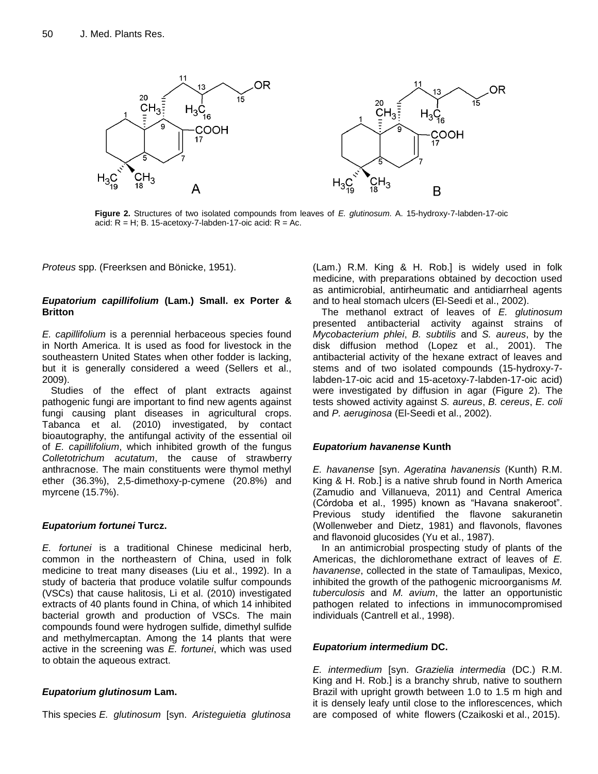

**Figure 2.** Structures of two isolated compounds from leaves of *E. glutinosum*. A. 15-hydroxy-7-labden-17-oic acid:  $R = H$ ; B. 15-acetoxy-7-labden-17-oic acid:  $R = Ac$ .

*Proteus* spp. (Freerksen and Bönicke, 1951).

#### *Eupatorium capillifolium* **(Lam.) Small. ex Porter & Britton**

*E. capillifolium* is a perennial herbaceous species found in North America. It is used as food for livestock in the southeastern United States when other fodder is lacking, but it is generally considered a weed (Sellers et al., 2009).

Studies of the effect of plant extracts against pathogenic fungi are important to find new agents against fungi causing plant diseases in agricultural crops. Tabanca et al. (2010) investigated, by contact bioautography, the antifungal activity of the essential oil of *E. capillifolium*, which inhibited growth of the fungus *Colletotrichum acutatum*, the cause of strawberry anthracnose. The main constituents were thymol methyl ether (36.3%), 2,5-dimethoxy-p-cymene (20.8%) and myrcene (15.7%).

#### *Eupatorium fortunei* **Turcz.**

*E. fortunei* is a traditional Chinese medicinal herb, common in the northeastern of China, used in folk medicine to treat many diseases (Liu et al., 1992). In a study of bacteria that produce volatile sulfur compounds (VSCs) that cause halitosis, Li et al. (2010) investigated extracts of 40 plants found in China, of which 14 inhibited bacterial growth and production of VSCs. The main compounds found were hydrogen sulfide, dimethyl sulfide and methylmercaptan. Among the 14 plants that were active in the screening was *E. fortunei*, which was used to obtain the aqueous extract.

#### *Eupatorium glutinosum* **Lam.**

This species *E. glutinosum* [syn. *Aristeguietia glutinosa* 

(Lam.) R.M. King & H. Rob.] is widely used in folk medicine, with preparations obtained by decoction used as antimicrobial, antirheumatic and antidiarrheal agents and to heal stomach ulcers (El-Seedi et al., 2002).

The methanol extract of leaves of *E. glutinosum*  presented antibacterial activity against strains of *Mycobacterium phlei*, *B. subtilis* and *S. aureus*, by the disk diffusion method (Lopez et al., 2001). The antibacterial activity of the hexane extract of leaves and stems and of two isolated compounds (15-hydroxy-7 labden-17-oic acid and 15-acetoxy-7-labden-17-oic acid) were investigated by diffusion in agar (Figure 2). The tests showed activity against *S. aureus*, *B. cereus*, *E. coli* and *P. aeruginosa* (El-Seedi et al., 2002).

# *Eupatorium havanense* **Kunth**

*E. havanense* [syn. *Ageratina havanensis* (Kunth) R.M. King & H. Rob.] is a native shrub found in North America (Zamudio and Villanueva, 2011) and Central America (Córdoba et al., 1995) known as "Havana snakeroot". Previous study identified the flavone sakuranetin (Wollenweber and Dietz, 1981) and flavonols, flavones and flavonoid glucosides (Yu et al., 1987).

In an antimicrobial prospecting study of plants of the Americas, the dichloromethane extract of leaves of *E. havanense*, collected in the state of Tamaulipas, Mexico, inhibited the growth of the pathogenic microorganisms *M. tuberculosis* and *M. avium*, the latter an opportunistic pathogen related to infections in immunocompromised individuals (Cantrell et al., 1998).

#### *Eupatorium intermedium* **DC.**

*E. intermedium* [syn. *Grazielia intermedia* (DC.) R.M. King and H. Rob.] is a branchy shrub, native to southern Brazil with upright growth between 1.0 to 1.5 m high and it is densely leafy until close to the inflorescences, which are composed of white flowers (Czaikoski et al., 2015).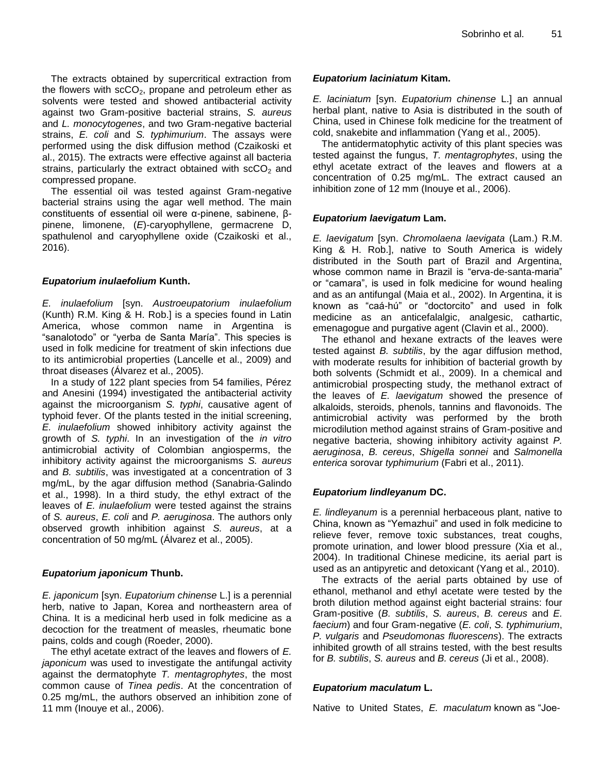The extracts obtained by supercritical extraction from the flowers with  $scCO<sub>2</sub>$ , propane and petroleum ether as solvents were tested and showed antibacterial activity against two Gram-positive bacterial strains, *S. aureus* and *L. monocytogenes*, and two Gram-negative bacterial strains, *E. coli* and *S. typhimurium*. The assays were performed using the disk diffusion method (Czaikoski et al., 2015). The extracts were effective against all bacteria strains, particularly the extract obtained with  $scCO<sub>2</sub>$  and compressed propane.

The essential oil was tested against Gram-negative bacterial strains using the agar well method. The main constituents of essential oil were α-pinene, sabinene, βpinene, limonene, (*E*)-caryophyllene, germacrene D, spathulenol and caryophyllene oxide (Czaikoski et al., 2016).

#### *Eupatorium inulaefolium* **Kunth.**

*E. inulaefolium* [syn. *Austroeupatorium inulaefolium* (Kunth) R.M. King & H. Rob.] is a species found in Latin America, whose common name in Argentina is "sanalotodo" or "yerba de Santa María". This species is used in folk medicine for treatment of skin infections due to its antimicrobial properties (Lancelle et al., 2009) and throat diseases (Álvarez et al., 2005).

In a study of 122 plant species from 54 families, Pérez and Anesini (1994) investigated the antibacterial activity against the microorganism *S. typhi*, causative agent of typhoid fever. Of the plants tested in the initial screening, *E. inulaefolium* showed inhibitory activity against the growth of *S. typhi*. In an investigation of the *in vitro* antimicrobial activity of Colombian angiosperms, the inhibitory activity against the microorganisms *S. aureus* and *B. subtilis*, was investigated at a concentration of 3 mg/mL, by the agar diffusion method (Sanabria-Galindo et al., 1998). In a third study, the ethyl extract of the leaves of *E. inulaefolium* were tested against the strains of *S. aureus*, *E. coli* and *P. aeruginosa*. The authors only observed growth inhibition against *S. aureus*, at a concentration of 50 mg/mL (Álvarez et al., 2005).

# *Eupatorium japonicum* **Thunb.**

*E. japonicum* [syn. *Eupatorium chinense* L.] is a perennial herb, native to Japan, Korea and northeastern area of China. It is a medicinal herb used in folk medicine as a decoction for the treatment of measles, rheumatic bone pains, colds and cough (Roeder, 2000).

The ethyl acetate extract of the leaves and flowers of *E. japonicum* was used to investigate the antifungal activity against the dermatophyte *T. mentagrophytes*, the most common cause of *Tinea pedis*. At the concentration of 0.25 mg/mL, the authors observed an inhibition zone of 11 mm (Inouye et al., 2006).

#### *Eupatorium laciniatum* **Kitam.**

*E. laciniatum* [syn. *Eupatorium chinense* L.] an annual herbal plant, native to Asia is distributed in the south of China, used in Chinese folk medicine for the treatment of cold, snakebite and inflammation (Yang et al., 2005).

The antidermatophytic activity of this plant species was tested against the fungus, *T. mentagrophytes*, using the ethyl acetate extract of the leaves and flowers at a concentration of 0.25 mg/mL. The extract caused an inhibition zone of 12 mm (Inouye et al., 2006).

# *Eupatorium laevigatum* **Lam.**

*E. laevigatum* [syn. *Chromolaena laevigata* (Lam.) R.M. King & H. Rob.], native to South America is widely distributed in the South part of Brazil and Argentina, whose common name in Brazil is "erva-de-santa-maria" or "camara", is used in folk medicine for wound healing and as an antifungal (Maia et al., 2002). In Argentina, it is known as "caá-hú" or "doctorcito" and used in folk medicine as an anticefalalgic, analgesic, cathartic, emenagogue and purgative agent (Clavin et al., 2000).

The ethanol and hexane extracts of the leaves were tested against *B. subtilis*, by the agar diffusion method, with moderate results for inhibition of bacterial growth by both solvents (Schmidt et al., 2009). In a chemical and antimicrobial prospecting study, the methanol extract of the leaves of *E. laevigatum* showed the presence of alkaloids, steroids, phenols, tannins and flavonoids. The antimicrobial activity was performed by the broth microdilution method against strains of Gram-positive and negative bacteria, showing inhibitory activity against *P. aeruginosa*, *B. cereus*, *Shigella sonnei* and *Salmonella enterica* sorovar *typhimurium* (Fabri et al., 2011).

# *Eupatorium lindleyanum* **DC.**

*E. lindleyanum* is a perennial herbaceous plant, native to China, known as "Yemazhui" and used in folk medicine to relieve fever, remove toxic substances, treat coughs, promote urination, and lower blood pressure (Xia et al., 2004). In traditional Chinese medicine, its aerial part is used as an antipyretic and detoxicant (Yang et al., 2010).

The extracts of the aerial parts obtained by use of ethanol, methanol and ethyl acetate were tested by the broth dilution method against eight bacterial strains: four Gram-positive (*B. subtilis*, *S. aureus*, *B. cereus* and *E. faecium*) and four Gram-negative (*E. coli*, *S. typhimurium*, *P. vulgaris* and *Pseudomonas fluorescens*). The extracts inhibited growth of all strains tested, with the best results for *B. subtilis*, *S. aureus* and *B. cereus* (Ji et al., 2008).

#### *Eupatorium maculatum* **L.**

Native to United States, *E. maculatum* known as "Joe-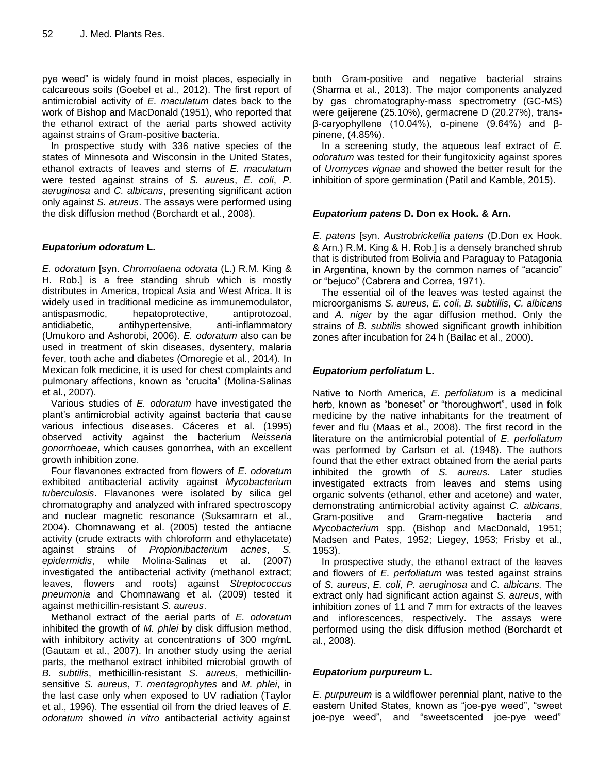pye weed" is widely found in moist places, especially in calcareous soils (Goebel et al., 2012). The first report of antimicrobial activity of *E. maculatum* dates back to the work of Bishop and MacDonald (1951), who reported that the ethanol extract of the aerial parts showed activity against strains of Gram-positive bacteria.

In prospective study with 336 native species of the states of Minnesota and Wisconsin in the United States, ethanol extracts of leaves and stems of *E. maculatum* were tested against strains of *S. aureus*, *E. coli*, *P. aeruginosa* and *C. albicans*, presenting significant action only against *S. aureus*. The assays were performed using the disk diffusion method (Borchardt et al., 2008).

# *Eupatorium odoratum* **L.**

*E. odoratum* [syn. *Chromolaena odorata* (L.) R.M. King & H. Rob.] is a free standing shrub which is mostly distributes in America, tropical Asia and West Africa. It is widely used in traditional medicine as immunemodulator, antispasmodic, hepatoprotective, antiprotozoal, antidiabetic, antihypertensive, anti-inflammatory (Umukoro and Ashorobi, 2006). *E. odoratum* also can be used in treatment of skin diseases, dysentery, malaria fever, tooth ache and diabetes (Omoregie et al., 2014). In Mexican folk medicine, it is used for chest complaints and pulmonary affections, known as "crucita" (Molina-Salinas et al., 2007).

Various studies of *E. odoratum* have investigated the plant's antimicrobial activity against bacteria that cause various infectious diseases. Cáceres et al. (1995) observed activity against the bacterium *Neisseria gonorrhoeae*, which causes gonorrhea, with an excellent growth inhibition zone.

Four flavanones extracted from flowers of *E. odoratum* exhibited antibacterial activity against *Mycobacterium tuberculosis*. Flavanones were isolated by silica gel chromatography and analyzed with infrared spectroscopy and nuclear magnetic resonance (Suksamrarn et al., 2004). Chomnawang et al. (2005) tested the antiacne activity (crude extracts with chloroform and ethylacetate) against strains of *Propionibacterium acnes*, *S. epidermidis*, while Molina-Salinas et al. (2007) investigated the antibacterial activity (methanol extract; leaves, flowers and roots) against *Streptococcus pneumonia* and Chomnawang et al. (2009) tested it against methicillin-resistant *S. aureus*.

Methanol extract of the aerial parts of *E. odoratum*  inhibited the growth of *M. phlei* by disk diffusion method, with inhibitory activity at concentrations of 300 mg/mL (Gautam et al., 2007). In another study using the aerial parts, the methanol extract inhibited microbial growth of *B. subtilis*, methicillin-resistant *S. aureus*, methicillinsensitive *S. aureus*, *T. mentagrophytes* and *M. phlei*, in the last case only when exposed to UV radiation (Taylor et al., 1996). The essential oil from the dried leaves of *E. odoratum* showed *in vitro* antibacterial activity against both Gram-positive and negative bacterial strains (Sharma et al., 2013). The major components analyzed by gas chromatography-mass spectrometry (GC-MS) were geijerene (25.10%), germacrene D (20.27%), transβ-caryophyllene (10.04%), α-pinene (9.64%) and βpinene, (4.85%).

In a screening study, the aqueous leaf extract of *E. odoratum* was tested for their fungitoxicity against spores of *Uromyces vignae* and showed the better result for the inhibition of spore germination (Patil and Kamble, 2015).

# *Eupatorium patens* **D. Don ex Hook. & Arn.**

*E. patens* [syn. *Austrobrickellia patens* (D.Don ex Hook. & Arn.) R.M. King & H. Rob.] is a densely branched shrub that is distributed from Bolivia and Paraguay to Patagonia in Argentina, known by the common names of "acancio" or "bejuco" (Cabrera and Correa, 1971).

The essential oil of the leaves was tested against the microorganisms *S. aureus, E. coli*, *B. subtillis*, *C. albicans* and *A. niger* by the agar diffusion method. Only the strains of *B. subtilis* showed significant growth inhibition zones after incubation for 24 h (Bailac et al., 2000).

# *Eupatorium perfoliatum* **L.**

Native to North America, *E. perfoliatum* is a medicinal herb, known as "boneset" or "thoroughwort", used in folk medicine by the native inhabitants for the treatment of fever and flu (Maas et al., 2008). The first record in the literature on the antimicrobial potential of *E. perfoliatum* was performed by Carlson et al. (1948). The authors found that the ether extract obtained from the aerial parts inhibited the growth of *S. aureus*. Later studies investigated extracts from leaves and stems using organic solvents (ethanol, ether and acetone) and water, demonstrating antimicrobial activity against *C. albicans*, Gram-positive and Gram-negative bacteria and *Mycobacterium* spp. (Bishop and MacDonald, 1951; Madsen and Pates, 1952; Liegey, 1953; Frisby et al., 1953).

In prospective study, the ethanol extract of the leaves and flowers of *E. perfoliatum* was tested against strains of *S. aureus*, *E. coli*, *P. aeruginosa* and *C. albicans.* The extract only had significant action against *S. aureus*, with inhibition zones of 11 and 7 mm for extracts of the leaves and inflorescences, respectively. The assays were performed using the disk diffusion method (Borchardt et al., 2008).

# *Eupatorium purpureum* **L.**

*E. purpureum* is a wildflower perennial plant, native to the eastern United States, known as "joe-pye weed", "sweet joe-pye weed", and "sweetscented joe-pye weed"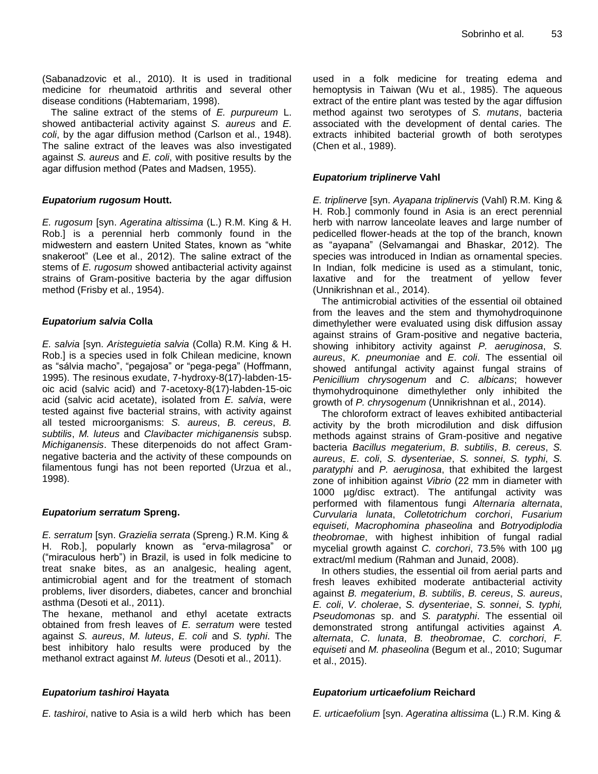(Sabanadzovic et al., 2010). It is used in traditional medicine for rheumatoid arthritis and several other disease conditions (Habtemariam, 1998).

The saline extract of the stems of *E. purpureum* L. showed antibacterial activity against *S. aureus* and *E. coli*, by the agar diffusion method (Carlson et al., 1948). The saline extract of the leaves was also investigated against *S. aureus* and *E. coli*, with positive results by the agar diffusion method (Pates and Madsen, 1955).

#### *Eupatorium rugosum* **Houtt.**

*E. rugosum* [syn. *Ageratina altissima* (L.) R.M. King & H. Rob.] is a perennial herb commonly found in the midwestern and eastern United States, known as "white snakeroot" (Lee et al., 2012). The saline extract of the stems of *E. rugosum* showed antibacterial activity against strains of Gram-positive bacteria by the agar diffusion method (Frisby et al., 1954).

#### *Eupatorium salvia* **Colla**

*E. salvia* [syn. *Aristeguietia salvia* (Colla) R.M. King & H. Rob.] is a species used in folk Chilean medicine, known as "sálvia macho", "pegajosa" or "pega-pega" (Hoffmann, 1995). The resinous exudate, 7-hydroxy-8(17)-labden-15 oic acid (salvic acid) and 7-acetoxy-8(17)-labden-15-oic acid (salvic acid acetate), isolated from *E. salvia*, were tested against five bacterial strains, with activity against all tested microorganisms: *S. aureus*, *B. cereus*, *B. subtilis*, *M. luteus* and *Clavibacter michiganensis* subsp. *Michiganensis*. These diterpenoids do not affect Gramnegative bacteria and the activity of these compounds on filamentous fungi has not been reported (Urzua et al., 1998).

#### *Eupatorium serratum* **Spreng.**

*E. serratum* [syn. *Grazielia serrata* (Spreng.) R.M. King & H. Rob.], popularly known as "erva-milagrosa" or ("miraculous herb") in Brazil, is used in folk medicine to treat snake bites, as an analgesic, healing agent, antimicrobial agent and for the treatment of stomach problems, liver disorders, diabetes, cancer and bronchial asthma (Desoti et al., 2011).

The hexane, methanol and ethyl acetate extracts obtained from fresh leaves of *E. serratum* were tested against *S. aureus*, *M. luteus*, *E. coli* and *S. typhi*. The best inhibitory halo results were produced by the methanol extract against *M. luteus* (Desoti et al., 2011).

#### *Eupatorium tashiroi* **Hayata**

*E. tashiroi*, native to Asia is a wild herb which has been

used in a folk medicine for treating edema and hemoptysis in Taiwan (Wu et al., 1985). The aqueous extract of the entire plant was tested by the agar diffusion method against two serotypes of *S. mutans*, bacteria associated with the development of dental caries. The extracts inhibited bacterial growth of both serotypes (Chen et al., 1989).

#### *Eupatorium triplinerve* **Vahl**

*E. triplinerve* [syn. *Ayapana triplinervis* (Vahl) R.M. King & H. Rob.] commonly found in Asia is an erect perennial herb with narrow lanceolate leaves and large number of pedicelled flower-heads at the top of the branch, known as "ayapana" (Selvamangai and Bhaskar, 2012). The species was introduced in Indian as ornamental species. In Indian, folk medicine is used as a stimulant, tonic, laxative and for the treatment of yellow fever (Unnikrishnan et al., 2014).

The antimicrobial activities of the essential oil obtained from the leaves and the stem and thymohydroquinone dimethylether were evaluated using disk diffusion assay against strains of Gram-positive and negative bacteria, showing inhibitory activity against *P. aeruginosa*, *S. aureus*, *K. pneumoniae* and *E. coli*. The essential oil showed antifungal activity against fungal strains of *Penicillium chrysogenum* and *C. albicans*; however thymohydroquinone dimethylether only inhibited the growth of *P. chrysogenum* (Unnikrishnan et al., 2014).

The chloroform extract of leaves exhibited antibacterial activity by the broth microdilution and disk diffusion methods against strains of Gram-positive and negative bacteria *Bacillus megaterium*, *B. subtilis*, *B. cereus*, *S. aureus*, *E. coli*, *S. dysenteriae*, *S. sonnei*, *S. typhi*, *S. paratyphi* and *P. aeruginosa*, that exhibited the largest zone of inhibition against *Vibrio* (22 mm in diameter with 1000 µg/disc extract). The antifungal activity was performed with filamentous fungi *Alternaria alternata*, *Curvularia lunata*, *Colletotrichum corchori*, *Fusarium equiseti*, *Macrophomina phaseolina* and *Botryodiplodia theobromae*, with highest inhibition of fungal radial mycelial growth against *C. corchori*, 73.5% with 100 µg extract/ml medium (Rahman and Junaid, 2008).

In others studies, the essential oil from aerial parts and fresh leaves exhibited moderate antibacterial activity against *B. megaterium*, *B. subtilis*, *B. cereus*, *S. aureus*, *E. coli*, *V. cholerae*, *S. dysenteriae*, *S. sonnei*, *S. typhi, Pseudomonas* sp. and *S. paratyphi*. The essential oil demonstrated strong antifungal activities against *A. alternata*, *C. lunata*, *B. theobromae*, *C. corchori*, *F. equiseti* and *M. phaseolina* (Begum et al., 2010; Sugumar et al., 2015).

# *Eupatorium urticaefolium* **Reichard**

*E. urticaefolium* [syn. *Ageratina altissima* (L.) R.M. King &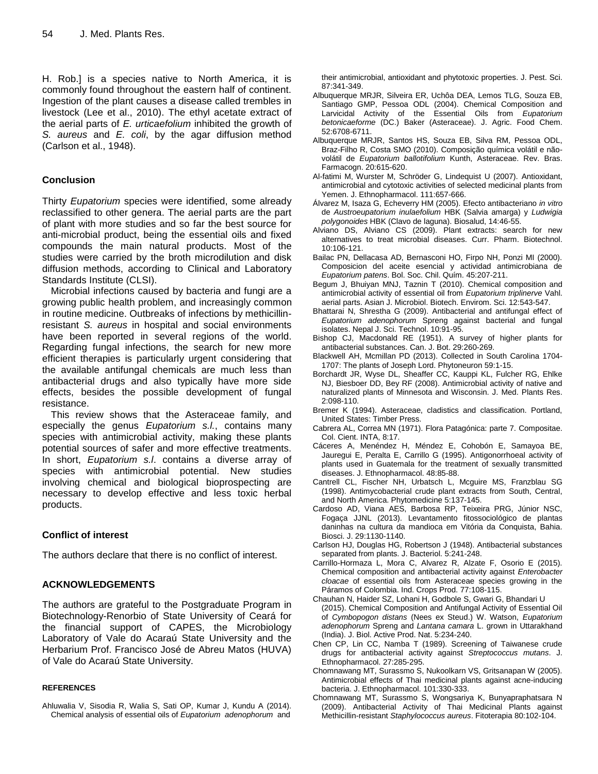H. Rob.] is a species native to North America, it is commonly found throughout the eastern half of continent. Ingestion of the plant causes a disease called trembles in livestock (Lee et al., 2010). The ethyl acetate extract of the aerial parts of *E. urticaefolium* inhibited the growth of *S. aureus* and *E. coli*, by the agar diffusion method (Carlson et al., 1948).

#### **Conclusion**

Thirty *Eupatorium* species were identified, some already reclassified to other genera. The aerial parts are the part of plant with more studies and so far the best source for anti-microbial product, being the essential oils and fixed compounds the main natural products. Most of the studies were carried by the broth microdilution and disk diffusion methods, according to Clinical and Laboratory Standards Institute (CLSI).

Microbial infections caused by bacteria and fungi are a growing public health problem, and increasingly common in routine medicine. Outbreaks of infections by methicillinresistant *S. aureus* in hospital and social environments have been reported in several regions of the world. Regarding fungal infections, the search for new more efficient therapies is particularly urgent considering that the available antifungal chemicals are much less than antibacterial drugs and also typically have more side effects, besides the possible development of fungal resistance.

This review shows that the Asteraceae family, and especially the genus *Eupatorium s.l.*, contains many species with antimicrobial activity, making these plants potential sources of safer and more effective treatments. In short, *Eupatorium s.l*. contains a diverse array of species with antimicrobial potential. New studies involving chemical and biological bioprospecting are necessary to develop effective and less toxic herbal products.

# **Conflict of interest**

The authors declare that there is no conflict of interest.

#### **ACKNOWLEDGEMENTS**

The authors are grateful to the Postgraduate Program in Biotechnology-Renorbio of State University of Ceará for the financial support of CAPES, the Microbiology Laboratory of Vale do Acaraú State University and the Herbarium Prof. Francisco José de Abreu Matos (HUVA) of Vale do Acaraú State University.

#### **REFERENCES**

Ahluwalia V, Sisodia R, Walia S, Sati OP, Kumar J, Kundu A (2014). Chemical analysis of essential oils of *Eupatorium adenophorum* and their antimicrobial, antioxidant and phytotoxic properties. J. Pest. Sci. 87:341-349.

- Albuquerque MRJR, Silveira ER, Uchôa DEA, Lemos TLG, Souza EB, Santiago GMP, Pessoa ODL (2004). Chemical Composition and Larvicidal Activity of the Essential Oils from *Eupatorium betonicaeforme* (DC.) Baker (Asteraceae). J. Agric. Food Chem. 52:6708-6711.
- Albuquerque MRJR, Santos HS, Souza EB, Silva RM, Pessoa ODL, Braz-Filho R, Costa SMO (2010). Composição química volátil e nãovolátil de *Eupatorium ballotifolium* Kunth, Asteraceae. Rev. Bras. Farmacogn. 20:615-620.
- Al-fatimi M, Wurster M, Schröder G, Lindequist U (2007). Antioxidant, antimicrobial and cytotoxic activities of selected medicinal plants from Yemen. J. Ethnopharmacol. 111:657-666.
- Álvarez M, Isaza G, Echeverry HM (2005). Efecto antibacteriano *in vitro* de *Austroeupatorium inulaefolium* HBK (Salvia amarga) y *Ludwigia polygonoides* HBK (Clavo de laguna). Biosalud, 14:46-55.
- Alviano DS, Alviano CS (2009). Plant extracts: search for new alternatives to treat microbial diseases. Curr. Pharm. Biotechnol. 10:106-121.
- Bailac PN, Dellacasa AD, Bernasconi HO, Firpo NH, Ponzi MI (2000). Composicion del aceite esencial y actividad antimicrobiana de *Eupatorium patens*. Bol. Soc. Chil. Quím. 45:207-211.
- Begum J, Bhuiyan MNJ, Taznin T (2010). Chemical composition and antimicrobial activity of essential oil from *Eupatorium triplinerve* Vahl. aerial parts. Asian J. Microbiol. Biotech. Envirom. Sci. 12:543-547.
- Bhattarai N, Shrestha G (2009). Antibacterial and antifungal effect of *Eupatorium adenophorum* Spreng against bacterial and fungal isolates. Nepal J. Sci. Technol. 10:91-95.
- Bishop CJ, Macdonald RE (1951). A survey of higher plants for antibacterial substances. Can. J. Bot. 29:260-269.
- Blackwell AH, Mcmillan PD (2013). Collected in South Carolina 1704- 1707: The plants of Joseph Lord. Phytoneuron 59:1-15.
- Borchardt JR, Wyse DL, Sheaffer CC, Kauppi KL, Fulcher RG, Ehlke NJ, Biesboer DD, Bey RF (2008). Antimicrobial activity of native and naturalized plants of Minnesota and Wisconsin. J. Med. Plants Res. 2:098-110.
- Bremer K (1994). Asteraceae, cladistics and classification. Portland, United States: Timber Press.
- Cabrera AL, Correa MN (1971). Flora Patagónica: parte 7. Compositae. Col. Cient. INTA, 8:17.
- Cáceres A, Menéndez H, Méndez E, Cohobón E, Samayoa BE, Jauregui E, Peralta E, Carrillo G (1995). Antigonorrhoeal activity of plants used in Guatemala for the treatment of sexually transmitted diseases. J. Ethnopharmacol. 48:85-88.
- Cantrell CL, Fischer NH, Urbatsch L, Mcguire MS, Franzblau SG (1998). Antimycobacterial crude plant extracts from South, Central, and North America. Phytomedicine 5:137-145.
- Cardoso AD, Viana AES, Barbosa RP, Teixeira PRG, Júnior NSC, Fogaça JJNL (2013). Levantamento fitossociológico de plantas daninhas na cultura da mandioca em Vitória da Conquista, Bahia. Biosci. J. 29:1130-1140.
- Carlson HJ, Douglas HG, Robertson J (1948). Antibacterial substances separated from plants. J. Bacteriol. 5:241-248.
- Carrillo-Hormaza L, Mora C, Alvarez R, Alzate F, Osorio E (2015). Chemical composition and antibacterial activity against *Enterobacter cloacae* of essential oils from Asteraceae species growing in the Páramos of Colombia. Ind. Crops Prod. 77:108-115.
- Chauhan N, Haider SZ, Lohani H, Godbole S, Gwari G, Bhandari U (2015). Chemical Composition and Antifungal Activity of Essential Oil of *Cymbopogon distans* (Nees ex Steud.) W. Watson, *Eupatorium adenophorum* Spreng and *Lantana camara* L. grown in Uttarakhand (India). J. Biol. Active Prod. Nat. 5:234-240.
- Chen CP, Lin CC, Namba T (1989). Screening of Taiwanese crude drugs for antibacterial activity against *Streptococcus mutans*. J. Ethnopharmacol. 27:285-295.
- Chomnawang MT, Surassmo S, Nukoolkarn VS, Gritsanapan W (2005). Antimicrobial effects of Thai medicinal plants against acne-inducing bacteria. J. Ethnopharmacol. 101:330-333.
- Chomnawang MT, Surassmo S, Wongsariya K, Bunyapraphatsara N (2009). Antibacterial Activity of Thai Medicinal Plants against Methicillin-resistant *Staphylococcus aureus*. Fitoterapia 80:102-104.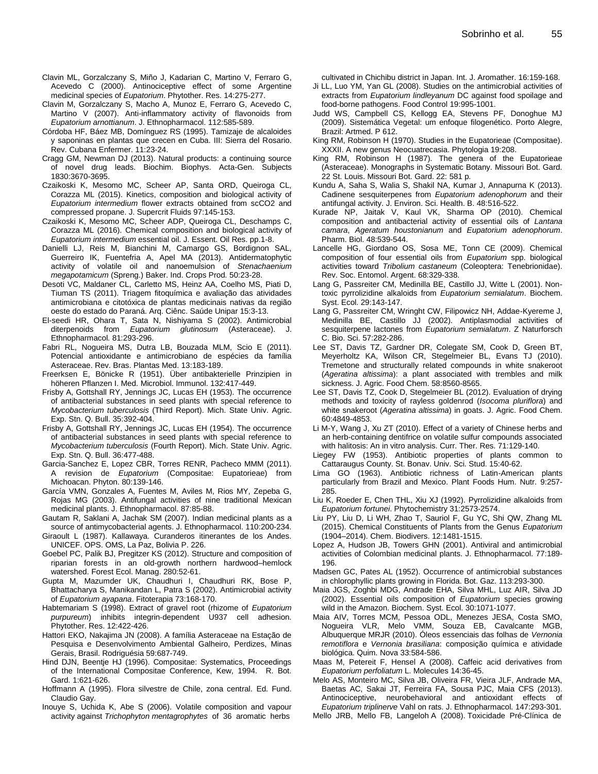- Clavin ML, Gorzalczany S, Miño J, Kadarian C, Martino V, Ferraro G, Acevedo C (2000). Antinociceptive effect of some Argentine medicinal species of *Eupatorium*. Phytother. Res. 14:275-277.
- Clavin M, Gorzalczany S, Macho A, Munoz E, Ferraro G, Acevedo C, Martino V (2007). Anti-inflammatory activity of flavonoids from *Eupatorium arnottianum*. J. Ethnopharmacol. 112:585-589.
- Córdoba HF, Báez MB, Domínguez RS (1995). Tamizaje de alcaloides y saponinas en plantas que crecen en Cuba. III: Sierra del Rosario. Rev. Cubana Enfermer. 11:23-24.
- Cragg GM, Newman DJ (2013). Natural products: a continuing source of novel drug leads. Biochim. Biophys. Acta-Gen. Subjects 1830:3670-3695.
- Czaikoski K, Mesomo MC, Scheer AP, Santa ORD, Queiroga CL, Corazza ML (2015). Kinetics, composition and biological activity of *Eupatorium intermedium* flower extracts obtained from scCO2 and compressed propane. J. Supercrit Fluids 97:145-153.
- Czaikoski K, Mesomo MC, Scheer ADP, Queiroga CL, Deschamps C, Corazza ML (2016). Chemical composition and biological activity of *Eupatorium intermedium* essential oil. J. Essent. Oil Res. pp.1-8.
- Danielli LJ, Reis M, Bianchini M, Camargo GS, Bordignon SAL, Guerreiro IK, Fuentefria A, Apel MA (2013). Antidermatophytic activity of volatile oil and nanoemulsion of *Stenachaenium megapotamicum* (Spreng.) Baker. Ind. Crops Prod. 50:23-28.
- Desoti VC, Maldaner CL, Carletto MS, Heinz AA, Coelho MS, Piati D, Tiuman TS (2011). Triagem fitoquímica e avaliação das atividades antimicrobiana e citotóxica de plantas medicinais nativas da região oeste do estado do Paraná. Arq. Ciênc. Saúde Unipar 15:3-13.
- El-seedi HR, Ohara T, Sata N, Nishiyama S (2002). Antimicrobial diterpenoids from *Eupatorium glutinosum* (Asteraceae). J. Ethnopharmacol. 81:293-296.
- Fabri RL, Nogueira MS, Dutra LB, Bouzada MLM, Scio E (2011). Potencial antioxidante e antimicrobiano de espécies da família Asteraceae. Rev. Bras. Plantas Med. 13:183-189.
- Freerksen E, Bönicke R (1951). Über antibakterielle Prinzipien in höheren Pflanzen I. Med. Microbiol. Immunol. 132:417-449.
- Frisby A, Gottshall RY, Jennings JC, Lucas EH (1953). The occurrence of antibacterial substances in seed plants with special reference to *Mycobacterium tuberculosis* (Third Report). Mich. State Univ. Agric. Exp. Stn. Q. Bull. 35:392-404.
- Frisby A, Gottshall RY, Jennings JC, Lucas EH (1954). The occurrence of antibacterial substances in seed plants with special reference to *Mycobacterium tuberculosis* (Fourth Report). Mich. State Univ. Agric. Exp. Stn. Q. Bull. 36:477-488.
- Garcia-Sanchez E, Lopez CBR, Torres RENR, Pacheco MMM (2011). A revision de *Eupatorium* (Compositae: Eupatorieae) from Michoacan. Phyton. 80:139-146.
- García VMN, Gonzales A, Fuentes M, Aviles M, Rios MY, Zepeba G, Rojas MG (2003). Antifungal activities of nine traditional Mexican medicinal plants. J. Ethnopharmacol. 87:85-88.
- Gautam R, Saklani A, Jachak SM (2007). Indian medicinal plants as a source of antimycobacterial agents. J. Ethnopharmacol. 110:200-234.
- Giraoult L (1987). Kallawaya. Curanderos itinerantes de los Andes. UNICEF. OPS. OMS, La Paz, Bolivia P. 226.
- Goebel PC, Palik BJ, Pregitzer KS (2012). Structure and composition of riparian forests in an old-growth northern hardwood–hemlock watershed. Forest Ecol. Manag. 280:52-61.
- Gupta M, Mazumder UK, Chaudhuri I, Chaudhuri RK, Bose P, Bhattacharya S, Manikandan L, Patra S (2002). Antimicrobial activity of *Eupatorium ayapana*. Fitoterapia 73:168-170.
- Habtemariam S (1998). Extract of gravel root (rhizome of *Eupatorium purpureum*) inhibits integrin‐dependent U937 cell adhesion. Phytother. Res. 12:422-426.
- Hattori EKO, Nakajima JN (2008). A família Asteraceae na Estação de Pesquisa e Desenvolvimento Ambiental Galheiro, Perdizes, Minas Gerais, Brasil. Rodriguésia 59:687-749.
- Hind DJN, Beentje HJ (1996). Compositae: Systematics, Proceedings of the International Compositae Conference, Kew, 1994. R. Bot. Gard. 1:621-626.
- Hoffmann A (1995). Flora silvestre de Chile, zona central. Ed. Fund. Claudio Gay.
- Inouye S, Uchida K, Abe S (2006). Volatile composition and vapour activity against *Trichophyton mentagrophytes* of 36 aromatic herbs

cultivated in Chichibu district in Japan. Int. J. Aromather. 16:159-168.

- Ji LL, Luo YM, Yan GL (2008). Studies on the antimicrobial activities of extracts from *Eupatorium lindleyanum* DC against food spoilage and food-borne pathogens. Food Control 19:995-1001.
- Judd WS, Campbell CS, Kellogg EA, Stevens PF, Donoghue MJ (2009). Sistemática Vegetal: um enfoque filogenético. Porto Alegre, Brazil: Artmed. P 612.
- King RM, Robinson H (1970). Studies in the Eupatorieae (Compositae). XXXII. A new genus Neocuatrecasia. Phytologia 19:208.
- King RM, Robinson H (1987). The genera of the Eupatorieae (Asteraceae). Monographs in Systematic Botany. Missouri Bot. Gard. 22 St. Louis. Missouri Bot. Gard. 22: 581 p.
- Kundu A, Saha S, Walia S, Shakil NA, Kumar J, Annapurna K (2013). Cadinene sesquiterpenes from *Eupatorium adenophorum* and their antifungal activity. J. Environ. Sci. Health. B. 48:516-522.
- Kurade NP, Jaitak V, Kaul VK, Sharma OP (2010). Chemical composition and antibacterial activity of essential oils of *Lantana camara*, *Ageratum houstonianum* and *Eupatorium adenophorum*. Pharm. Biol. 48:539-544.
- Lancelle HG, Giordano OS, Sosa ME, Tonn CE (2009). Chemical composition of four essential oils from *Eupatorium* spp. biological activities toward *Tribolium castaneum* (Coleoptera: Tenebrionidae). Rev. Soc. Entomol. Argent. 68:329-338.
- Lang G, Passreiter CM, Medinilla BE, Castillo JJ, Witte L (2001). Nontoxic pyrrolizidine alkaloids from *Eupatorium semialatum*. Biochem. Syst. Ecol. 29:143-147.
- Lang G, Passreiter CM, Wringht CW, Filipowicz NH, Addae-Kyereme J, Medinilla BE, Castillo JJ (2002). Antiplasmodial activities of sesquiterpene lactones from *Eupatorium semialatum*. Z Naturforsch C. Bio. Sci. 57:282-286.
- Lee ST, Davis TZ, Gardner DR, Colegate SM, Cook D, Green BT, Meyerholtz KA, Wilson CR, Stegelmeier BL, Evans TJ (2010). Tremetone and structurally related compounds in white snakeroot (*Ageratina altissima*): a plant associated with trembles and milk sickness. J. Agric. Food Chem. 58:8560-8565.
- Lee ST, Davis TZ, Cook D, Stegelmeier BL (2012). Evaluation of drying methods and toxicity of rayless goldenrod (*Isocoma pluriflora*) and white snakeroot (*Ageratina altissima*) in goats. J. Agric. Food Chem. 60:4849-4853.
- Li M-Y, Wang J, Xu ZT (2010). Effect of a variety of Chinese herbs and an herb-containing dentifrice on volatile sulfur compounds associated with halitosis: An in vitro analysis. Curr. Ther. Res. 71:129-140.
- Liegey FW (1953). Antibiotic properties of plants common to Cattaraugus County. St. Bonav. Univ. Sci. Stud. 15:40-62.
- Lima GO (1963). Antibiotic richness of Latin-American plants particularly from Brazil and Mexico. Plant Foods Hum. Nutr. 9:257- 285.
- Liu K, Roeder E, Chen THL, Xiu XJ (1992). Pyrrolizidine alkaloids from *Eupatorium fortunei*. Phytochemistry 31:2573-2574.
- Liu PY, Liu D, Li WH, Zhao T, Sauriol F, Gu YC, Shi QW, Zhang ML (2015). Chemical Constituents of Plants from the Genus *Eupatorium* (1904–2014). Chem. Biodivers. 12:1481-1515.
- Lopez A, Hudson JB, Towers GHN (2001). Antiviral and antimicrobial activities of Colombian medicinal plants. J. Ethnopharmacol. 77:189- 196.
- Madsen GC, Pates AL (1952). Occurrence of antimicrobial substances in chlorophyllic plants growing in Florida. Bot. Gaz. 113:293-300.
- Maia JGS, Zoghbi MDG, Andrade EHA, Silva MHL, Luz AIR, Silva JD (2002). Essential oils composition of *Eupatorium* species growing wild in the Amazon. Biochem. Syst. Ecol. 30:1071-1077.
- Maia AIV, Torres MCM, Pessoa ODL, Menezes JESA, Costa SMO, Nogueira VLR, Melo VMM, Souza EB, Cavalcante MGB, Albuquerque MRJR (2010). Óleos essenciais das folhas de *Vernonia remotiflora* e *Vernonia brasiliana*: composição química e atividade biológica. Quim. Nova 33:584-586.
- Maas M, Petereit F, Hensel A (2008). Caffeic acid derivatives from *Eupatorium perfoliatum* L. Molecules 14:36-45.
- Melo AS, Monteiro MC, Silva JB, Oliveira FR, Vieira JLF, Andrade MA, Baetas AC, Sakai JT, Ferreira FA, Sousa PJC, Maia CFS (2013). Antinociceptive, neurobehavioral and antioxidant effects of *Eupatorium triplinerve* Vahl on rats. J. Ethnopharmacol. 147:293-301.
- Mello JRB, Mello FB, Langeloh A (2008). Toxicidade Pré-Clínica de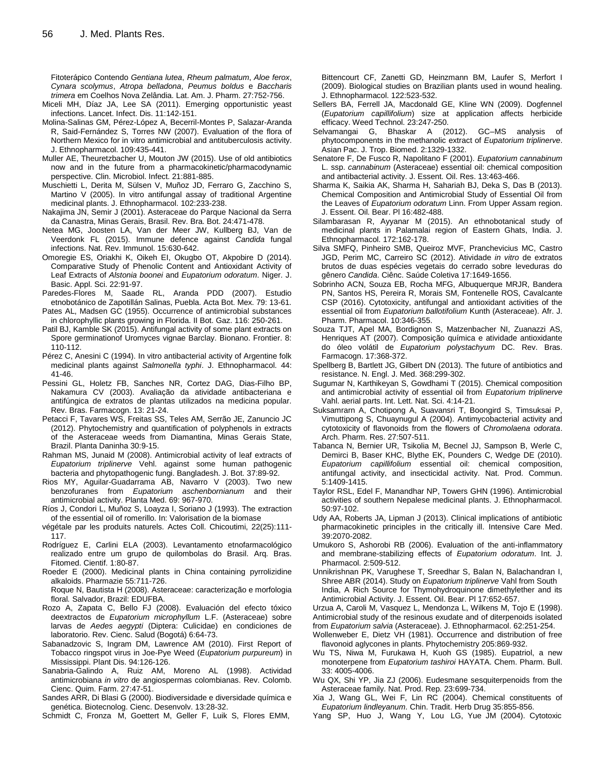Fitoterápico Contendo *Gentiana lutea*, *Rheum palmatum*, *Aloe ferox*, *Cynara scolymus*, *Atropa belladona*, *Peumus boldus* e *Baccharis trimera* em Coelhos Nova Zelândia. Lat. Am. J. Pharm. 27:752-756.

Miceli MH, Díaz JA, Lee SA (2011). Emerging opportunistic yeast infections. Lancet. Infect. Dis. 11:142-151.

- Molina-Salinas GM, Pérez-López A, Becerril-Montes P, Salazar-Aranda R, Said-Fernández S, Torres NW (2007). Evaluation of the flora of Northern Mexico for in vitro antimicrobial and antituberculosis activity. J. Ethnopharmacol. 109:435-441.
- Muller AE, Theuretzbacher U, Mouton JW (2015). Use of old antibiotics now and in the future from a pharmacokinetic/pharmacodynamic perspective. Clin. Microbiol. Infect. 21:881-885.
- Muschietti L, Derita M, Sülsen V, Muñoz JD, Ferraro G, Zacchino S, Martino V (2005). In vitro antifungal assay of traditional Argentine medicinal plants. J. Ethnopharmacol. 102:233-238.
- Nakajima JN, Semir J (2001). Asteraceae do Parque Nacional da Serra da Canastra, Minas Gerais, Brasil. Rev. Bra. Bot. 24:471-478.
- Netea MG, Joosten LA, Van der Meer JW, Kullberg BJ, Van de Veerdonk FL (2015). Immune defence against *Candida* fungal infections. Nat. Rev. Immunol. 15:630-642.
- Omoregie ES, Oriakhi K, Oikeh EI, Okugbo OT, Akpobire D (2014). Comparative Study of Phenolic Content and Antioxidant Activity of Leaf Extracts of *Alstonia boonei* and *Eupatorium odoratum*. Niger. J. Basic. Appl. Sci. 22:91-97.

Paredes-Flores M, Saade RL, Aranda PDD (2007). Estudio etnobotánico de Zapotillán Salinas, Puebla. Acta Bot. Mex. 79: 13-61.

Pates AL, Madsen GC (1955). Occurrence of antimicrobial substances in chlorophyllic plants growing in Florida. II Bot. Gaz. 116: 250-261.

- Patil BJ, Kamble SK (2015). Antifungal activity of some plant extracts on Spore germinationof Uromyces vignae Barclay. Bionano. Frontier. 8: 110-112.
- Pérez C, Anesini C (1994). In vitro antibacterial activity of Argentine folk medicinal plants against *Salmonella typhi*. J. Ethnopharmacol. 44: 41-46.
- Pessini GL, Holetz FB, Sanches NR, Cortez DAG, Dias-Filho BP, Nakamura CV (2003). Avaliação da atividade antibacteriana e antifúngica de extratos de plantas utilizados na medicina popular. Rev. Bras. Farmacogn. 13: 21-24.
- Petacci F, Tavares WS, Freitas SS, Teles AM, Serrão JE, Zanuncio JC (2012). Phytochemistry and quantification of polyphenols in extracts of the Asteraceae weeds from Diamantina, Minas Gerais State, Brazil. Planta Daninha 30:9-15.
- Rahman MS, Junaid M (2008). Antimicrobial activity of leaf extracts of *Eupatorium triplinerve* Vehl. against some human pathogenic bacteria and phytopathogenic fungi. Bangladesh. J. Bot. 37:89-92.
- Rios MY, Aguilar-Guadarrama AB, Navarro V (2003). Two new benzofuranes from *Eupatorium aschenbornianum* and their antimicrobial activity. Planta Med. 69: 967-970.
- Ríos J, Condori L, Muñoz S, Loayza I, Soriano J (1993). The extraction of the essential oil of romerillo. In: Valorisation de la biomase
- végétale par les produits naturels. Actes Coll. Chicoutimi, 22(25):111- 117.
- Rodríguez E, Carlini ELA (2003). Levantamento etnofarmacológico realizado entre um grupo de quilombolas do Brasil. Arq. Bras. Fitomed. Cientif. 1:80-87.
- Roeder E (2000). Medicinal plants in China containing pyrrolizidine alkaloids. Pharmazie 55:711-726.

Roque N, Bautista H (2008). Asteraceae: caracterização e morfologia floral*.* Salvador, Brazil: EDUFBA.

- Rozo A, Zapata C, Bello FJ (2008). Evaluación del efecto tóxico deextractos de *Eupatorium microphyllum* L.F. (Asteraceae) sobre larvas de *Aedes aegypti* (Diptera: Culicidae) en condiciones de laboratorio. Rev. Cienc. Salud (Bogotá) 6:64-73.
- Sabanadzovic S, Ingram DM, Lawrence AM (2010). First Report of Tobacco ringspot virus in Joe-Pye Weed (*Eupatorium purpureum*) in Mississippi. Plant Dis. 94:126-126.
- Sanabria-Galindo A, Ruiz AM, Moreno AL (1998). Actividad antimicrobiana *in vitro* de angiospermas colombianas. Rev. Colomb. Cienc. Quim. Farm. 27:47-51.

Sandes ARR, Di Blasi G (2000). Biodiversidade e diversidade química e genética. Biotecnolog. Cienc. Desenvolv. 13:28-32.

Schmidt C, Fronza M, Goettert M, Geller F, Luik S, Flores EMM,

Bittencourt CF, Zanetti GD, Heinzmann BM, Laufer S, Merfort I (2009). Biological studies on Brazilian plants used in wound healing. J. Ethnopharmacol. 122:523-532.

- Sellers BA, Ferrell JA, Macdonald GE, Kline WN (2009). Dogfennel (*Eupatorium capillifolium*) size at application affects herbicide efficacy. Weed Technol. 23:247-250.
- Selvamangai G, Bhaskar A (2012). GC–MS analysis of phytocomponents in the methanolic extract of *Eupatorium triplinerve*. Asian Pac. J. Trop. Biomed. 2:1329-1332.
- Senatore F, De Fusco R, Napolitano F (2001). *Eupatorium cannabinum* L. ssp. *cannabinum* (Asteraceae) essential oil: chemical composition and antibacterial activity. J. Essent. Oil. Res. 13:463-466.
- Sharma K, Saikia AK, Sharma H, Sahariah BJ, Deka S, Das B (2013). Chemical Composition and Antimicrobial Study of Essential Oil from the Leaves of *Eupatorium odoratum* Linn. From Upper Assam region. J. Essent. Oil. Bear. Pl 16:482-488.
- Silambarasan R, Ayyanar M (2015). An ethnobotanical study of medicinal plants in Palamalai region of Eastern Ghats, India. J. Ethnopharmacol. 172:162-178.
- Silva SMFQ, Pinheiro SMB, Queiroz MVF, Pranchevicius MC, Castro JGD, Perim MC, Carreiro SC (2012). Atividade *in vitro* de extratos brutos de duas espécies vegetais do cerrado sobre leveduras do gênero *Candida*. Ciênc. Saúde Coletiva 17:1649-1656.
- Sobrinho ACN, Souza EB, Rocha MFG, Albuquerque MRJR, Bandera PN, Santos HS, Pereira R, Morais SM, Fontenelle ROS, Cavalcante CSP (2016). Cytotoxicity, antifungal and antioxidant activities of the essential oil from *Eupatorium ballotifolium* Kunth (Asteraceae). Afr. J. Pharm. Pharmacol. 10:346-355.
- Souza TJT, Apel MA, Bordignon S, Matzenbacher NI, Zuanazzi AS, Henriques AT (2007). Composição química e atividade antioxidante do óleo volátil de *Eupatorium polystachyum* DC. Rev. Bras. Farmacogn. 17:368-372.
- Spellberg B, Bartlett JG, Gilbert DN (2013). The future of antibiotics and resistance. N. Engl. J. Med. 368:299-302.
- Sugumar N, Karthikeyan S, Gowdhami T (2015). Chemical composition and antimicrobial activity of essential oil from *Eupatorium triplinerve* Vahl. aerial parts. Int. Lett. Nat. Sci. 4:14-21.
- Suksamrarn A, Chotipong A, Suavansri T, Boongird S, Timsuksai P, Vimuttipong S, Chuaynugul A (2004). Antimycobacterial activity and cytotoxicity of flavonoids from the flowers of *Chromolaena odorata*. Arch. Pharm. Res. 27:507-511.
- Tabanca N, Bernier UR, Tsikolia M, Becnel JJ, Sampson B, Werle C, Demirci B, Baser KHC, Blythe EK, Pounders C, Wedge DE (2010). *Eupatorium capillifolium* essential oil: chemical composition, antifungal activity, and insecticidal activity. Nat. Prod. Commun. 5:1409-1415.
- Taylor RSL, Edel F, Manandhar NP, Towers GHN (1996). Antimicrobial activities of southern Nepalese medicinal plants. J. Ethnopharmacol. 50:97-102.
- Udy AA, Roberts JA, Lipman J (2013). Clinical implications of antibiotic pharmacokinetic principles in the critically ill. Intensive Care Med. 39:2070-2082.
- Umukoro S, Ashorobi RB (2006). Evaluation of the anti-inflammatory and membrane-stabilizing effects of *Eupatorium odoratum*. Int. J. Pharmacol. 2:509-512.
- Unnikrishnan PK, Varughese T, Sreedhar S, Balan N, Balachandran I, Shree ABR (2014). Study on *Eupatorium triplinerve* Vahl from South India, A Rich Source for Thymohydroquinone dimethylether and its Antimicrobial Activity. J. Essent. Oil. Bear. Pl 17:652-657.

Urzua A, Caroli M, Vasquez L, Mendonza L, Wilkens M, Tojo E (1998). Antimicrobial study of the resinous exudate and of diterpenoids isolated

from *Eupatorium salvia* (Asteraceae). J. Ethnopharmacol. 62:251-254.

- Wollenweber E, Dietz VH (1981). Occurrence and distribution of free flavonoid aglycones in plants. Phytochemistry 205:869-932.
- Wu TS, Niwa M, Furukawa H, Kuoh GS (1985). Eupatriol, a new monoterpene from *Eupatorium tashiroi* HAYATA. Chem. Pharm. Bull. 33: 4005-4006.
- Wu QX, Shi YP, Jia ZJ (2006). Eudesmane sesquiterpenoids from the Asteraceae family. Nat. Prod. Rep. 23:699-734.
- Xia J, Wang GL, Wei F, Lin RC (2004). Chemical constituents of *Eupatorium lindleyanum*. Chin. Tradit. Herb Drug 35:855-856.
- Yang SP, Huo J, Wang Y, Lou LG, Yue JM (2004). Cytotoxic